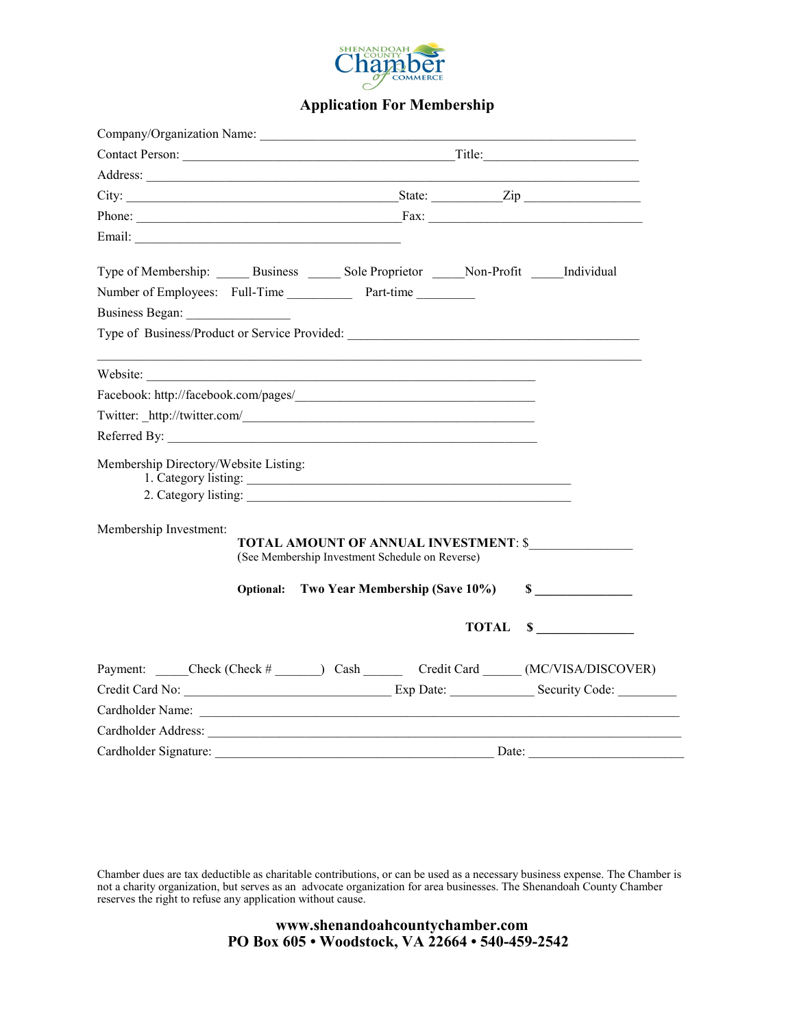

## **Application For Membership**

| Company/Organization Name:                                                                   |  |                                                 |  |  |                                                                                                                                                                                                                                |  |  |
|----------------------------------------------------------------------------------------------|--|-------------------------------------------------|--|--|--------------------------------------------------------------------------------------------------------------------------------------------------------------------------------------------------------------------------------|--|--|
|                                                                                              |  |                                                 |  |  |                                                                                                                                                                                                                                |  |  |
|                                                                                              |  |                                                 |  |  |                                                                                                                                                                                                                                |  |  |
| City: <u>City:</u> City: <u>City:</u> City: 2ip                                              |  |                                                 |  |  |                                                                                                                                                                                                                                |  |  |
|                                                                                              |  |                                                 |  |  |                                                                                                                                                                                                                                |  |  |
|                                                                                              |  |                                                 |  |  |                                                                                                                                                                                                                                |  |  |
| Type of Membership: ______ Business ______ Sole Proprietor _____ Non-Profit _____ Individual |  |                                                 |  |  |                                                                                                                                                                                                                                |  |  |
| Number of Employees: Full-Time Part-time                                                     |  |                                                 |  |  |                                                                                                                                                                                                                                |  |  |
|                                                                                              |  |                                                 |  |  |                                                                                                                                                                                                                                |  |  |
|                                                                                              |  |                                                 |  |  |                                                                                                                                                                                                                                |  |  |
| Website:                                                                                     |  |                                                 |  |  |                                                                                                                                                                                                                                |  |  |
|                                                                                              |  |                                                 |  |  |                                                                                                                                                                                                                                |  |  |
| Twitter: http://twitter.com/                                                                 |  |                                                 |  |  |                                                                                                                                                                                                                                |  |  |
|                                                                                              |  |                                                 |  |  |                                                                                                                                                                                                                                |  |  |
| Membership Directory/Website Listing:                                                        |  | 1. Category listing:<br>2. Category listing:    |  |  |                                                                                                                                                                                                                                |  |  |
| Membership Investment:                                                                       |  | (See Membership Investment Schedule on Reverse) |  |  | TOTAL AMOUNT OF ANNUAL INVESTMENT: \$                                                                                                                                                                                          |  |  |
|                                                                                              |  | Optional: Two Year Membership (Save 10%)        |  |  | $\sim$                                                                                                                                                                                                                         |  |  |
|                                                                                              |  |                                                 |  |  | TOTAL \$                                                                                                                                                                                                                       |  |  |
|                                                                                              |  |                                                 |  |  | Payment: _____Check (Check # ______) Cash ________ Credit Card ______ (MC/VISA/DISCOVER)                                                                                                                                       |  |  |
|                                                                                              |  |                                                 |  |  |                                                                                                                                                                                                                                |  |  |
|                                                                                              |  |                                                 |  |  | Cardholder Name: Land and the Cardholder Name: Land and the Cardholder Name: Land and the Cardholder Name: Land and the Card and the Card and the Card and the Card and the Card and the Card and the Card and the Card and th |  |  |
|                                                                                              |  |                                                 |  |  |                                                                                                                                                                                                                                |  |  |
|                                                                                              |  |                                                 |  |  |                                                                                                                                                                                                                                |  |  |

Chamber dues are tax deductible as charitable contributions, or can be used as a necessary business expense. The Chamber is not a charity organization, but serves as an advocate organization for area businesses. The Shenandoah County Chamber reserves the right to refuse any application without cause.

> **www.shenandoahcountychamber.com PO Box 605 • Woodstock, VA 22664 • 540-459-2542**